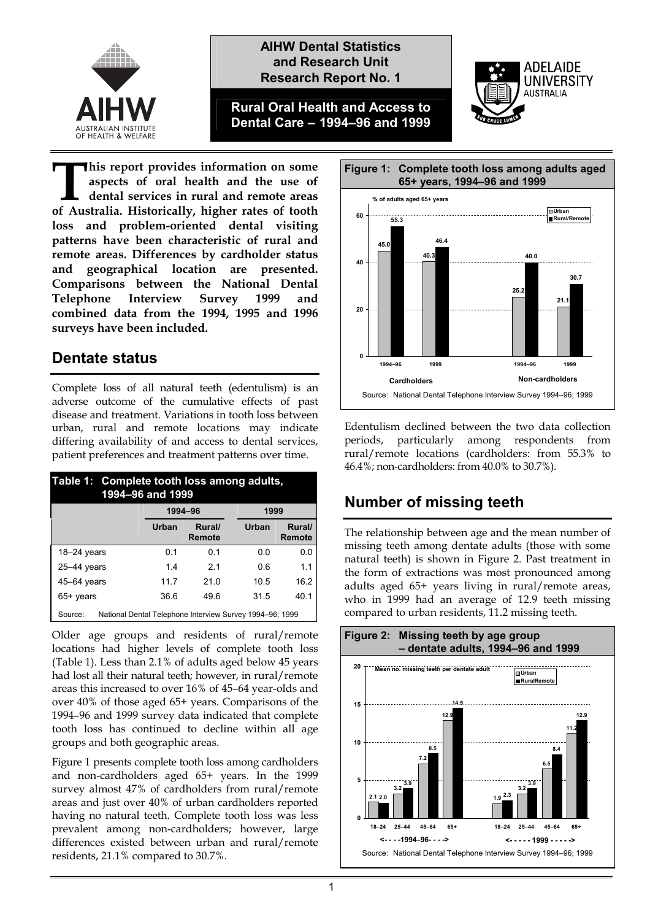

### **AIHW Dental Statistics and Research Unit Research Report No. 1**

**Rural Oral Health and Access to Dental Care – 1994–96 and 1999** 



**his report provides information on some aspects of oral health and the use of dental services in rural and remote areas because the Australia** errorides information on some aspects of oral health and the use of dental services in rural and remote areas of Australia. Historically, higher rates of tooth **loss and problem-oriented dental visiting patterns have been characteristic of rural and remote areas. Differences by cardholder status and geographical location are presented. Comparisons between the National Dental Telephone Interview Survey 1999 and combined data from the 1994, 1995 and 1996 surveys have been included.** 

### **Dentate status**

Complete loss of all natural teeth (edentulism) is an adverse outcome of the cumulative effects of past disease and treatment. Variations in tooth loss between urban, rural and remote locations may indicate differing availability of and access to dental services, patient preferences and treatment patterns over time.

| Table 1: Complete tooth loss among adults,<br>1994-96 and 1999      |         |                  |       |                  |  |  |  |  |
|---------------------------------------------------------------------|---------|------------------|-------|------------------|--|--|--|--|
|                                                                     | 1994-96 |                  | 1999  |                  |  |  |  |  |
|                                                                     | Urban   | Rural/<br>Remote | Urban | Rural/<br>Remote |  |  |  |  |
| $18 - 24$ years                                                     | 0 1     | 0.1              | 0 O   | 0.0              |  |  |  |  |
| $25-44$ years                                                       | 1.4     | 21               | 0.6   | 1.1              |  |  |  |  |
| $45-64$ years                                                       | 11.7    | 210              | 10.5  | 16.2             |  |  |  |  |
| 65+ years                                                           | 36.6    | 496              | 31.5  | 40.1             |  |  |  |  |
| National Dental Telephone Interview Survey 1994–96; 1999<br>Source: |         |                  |       |                  |  |  |  |  |

Older age groups and residents of rural/remote locations had higher levels of complete tooth loss (Table 1). Less than 2.1% of adults aged below 45 years had lost all their natural teeth; however, in rural/remote areas this increased to over 16% of 45–64 year-olds and over 40% of those aged 65+ years. Comparisons of the 1994–96 and 1999 survey data indicated that complete tooth loss has continued to decline within all age groups and both geographic areas.

Figure 1 presents complete tooth loss among cardholders and non-cardholders aged 65+ years. In the 1999 survey almost 47% of cardholders from rural/remote areas and just over 40% of urban cardholders reported having no natural teeth. Complete tooth loss was less prevalent among non-cardholders; however, large differences existed between urban and rural/remote residents, 21.1% compared to 30.7%.



Edentulism declined between the two data collection periods, particularly among respondents from rural/remote locations (cardholders: from 55.3% to 46.4%; non-cardholders: from 40.0% to 30.7%).

# **Number of missing teeth**

The relationship between age and the mean number of missing teeth among dentate adults (those with some natural teeth) is shown in Figure 2. Past treatment in the form of extractions was most pronounced among adults aged 65+ years living in rural/remote areas, who in 1999 had an average of 12.9 teeth missing compared to urban residents, 11.2 missing teeth.

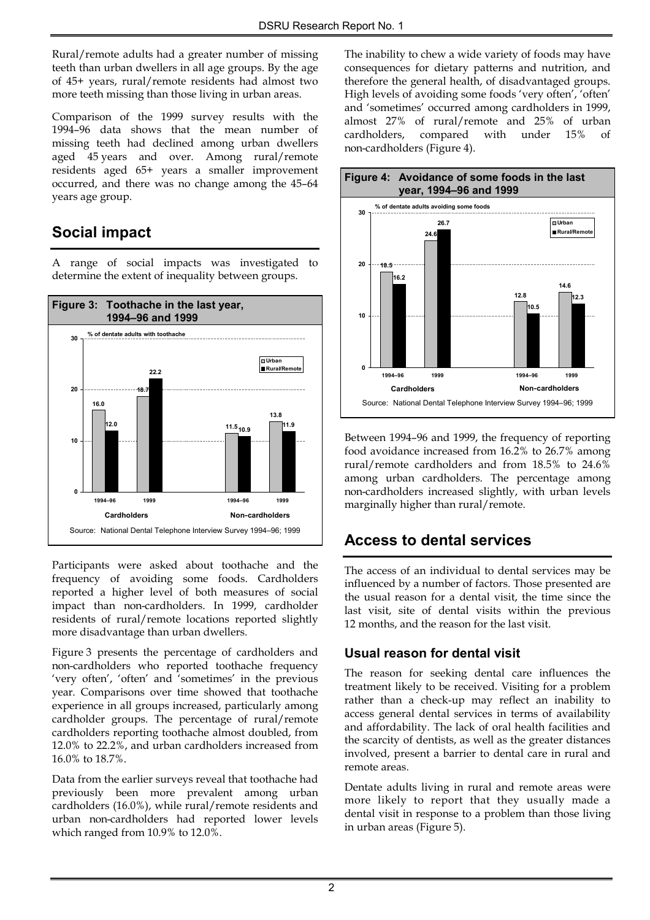Rural/remote adults had a greater number of missing teeth than urban dwellers in all age groups. By the age of 45+ years, rural/remote residents had almost two more teeth missing than those living in urban areas.

Comparison of the 1999 survey results with the 1994–96 data shows that the mean number of missing teeth had declined among urban dwellers aged 45 years and over. Among rural/remote residents aged 65+ years a smaller improvement occurred, and there was no change among the 45–64 years age group.

# **Social impact**

A range of social impacts was investigated to determine the extent of inequality between groups.



Participants were asked about toothache and the frequency of avoiding some foods. Cardholders reported a higher level of both measures of social impact than non-cardholders. In 1999, cardholder residents of rural/remote locations reported slightly more disadvantage than urban dwellers.

Figure 3 presents the percentage of cardholders and non-cardholders who reported toothache frequency 'very often', 'often' and 'sometimes' in the previous year. Comparisons over time showed that toothache experience in all groups increased, particularly among cardholder groups. The percentage of rural/remote cardholders reporting toothache almost doubled, from 12.0% to 22.2%, and urban cardholders increased from 16.0% to 18.7%.

Data from the earlier surveys reveal that toothache had previously been more prevalent among urban cardholders (16.0%), while rural/remote residents and urban non-cardholders had reported lower levels which ranged from 10.9% to 12.0%.

The inability to chew a wide variety of foods may have consequences for dietary patterns and nutrition, and therefore the general health, of disadvantaged groups. High levels of avoiding some foods 'very often', 'often' and 'sometimes' occurred among cardholders in 1999, almost 27% of rural/remote and 25% of urban cardholders, compared with under 15% of non-cardholders (Figure 4).



Between 1994–96 and 1999, the frequency of reporting food avoidance increased from 16.2% to 26.7% among rural/remote cardholders and from 18.5% to 24.6% among urban cardholders. The percentage among non-cardholders increased slightly, with urban levels marginally higher than rural/remote.

### **Access to dental services**

The access of an individual to dental services may be influenced by a number of factors. Those presented are the usual reason for a dental visit, the time since the last visit, site of dental visits within the previous 12 months, and the reason for the last visit.

### **Usual reason for dental visit**

The reason for seeking dental care influences the treatment likely to be received. Visiting for a problem rather than a check-up may reflect an inability to access general dental services in terms of availability and affordability. The lack of oral health facilities and the scarcity of dentists, as well as the greater distances involved, present a barrier to dental care in rural and remote areas.

Dentate adults living in rural and remote areas were more likely to report that they usually made a dental visit in response to a problem than those living in urban areas (Figure 5).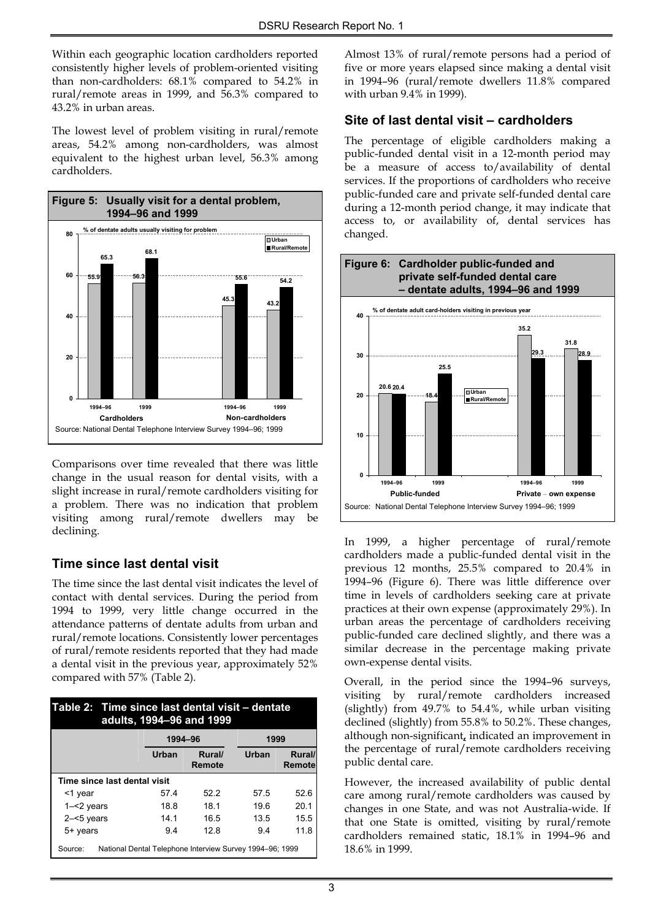Within each geographic location cardholders reported consistently higher levels of problem-oriented visiting than non-cardholders: 68.1% compared to 54.2% in rural/remote areas in 1999, and 56.3% compared to 43.2% in urban areas.

The lowest level of problem visiting in rural/remote areas, 54.2% among non-cardholders, was almost equivalent to the highest urban level, 56.3% among cardholders.



Comparisons over time revealed that there was little change in the usual reason for dental visits, with a slight increase in rural/remote cardholders visiting for a problem. There was no indication that problem visiting among rural/remote dwellers may be declining.

### **Time since last dental visit**

The time since the last dental visit indicates the level of contact with dental services. During the period from 1994 to 1999, very little change occurred in the attendance patterns of dentate adults from urban and rural/remote locations. Consistently lower percentages of rural/remote residents reported that they had made a dental visit in the previous year, approximately 52% compared with 57% (Table 2).

| Table 2: Time since last dental visit – dentate<br>adults, 1994-96 and 1999 |  |         |                  |                 |                  |  |  |  |
|-----------------------------------------------------------------------------|--|---------|------------------|-----------------|------------------|--|--|--|
|                                                                             |  | 1994-96 |                  | 1999            |                  |  |  |  |
|                                                                             |  | Urban   | Rural/<br>Remote | Urban           | Rural/<br>Remote |  |  |  |
| Time since last dental visit                                                |  |         |                  |                 |                  |  |  |  |
| <1 year                                                                     |  | 574     | 522              | 57 <sub>5</sub> | 52.6             |  |  |  |
| $1 - 2$ years                                                               |  | 18.8    | 181              | 19.6            | 20.1             |  |  |  |
| $2 - 5$ years                                                               |  | 141     | 16.5             | 13.5            | 15.5             |  |  |  |
| 5+ years                                                                    |  | 9.4     | 128              | 9.4             | 11.8             |  |  |  |
| National Dental Telephone Interview Survey 1994–96; 1999<br>Source:         |  |         |                  |                 |                  |  |  |  |

Almost 13% of rural/remote persons had a period of five or more years elapsed since making a dental visit in 1994–96 (rural/remote dwellers 11.8% compared with urban 9.4% in 1999)*.* 

#### **Site of last dental visit – cardholders**

The percentage of eligible cardholders making a public-funded dental visit in a 12-month period may be a measure of access to/availability of dental services. If the proportions of cardholders who receive public-funded care and private self-funded dental care during a 12-month period change, it may indicate that access to, or availability of, dental services has changed.



In 1999, a higher percentage of rural/remote cardholders made a public-funded dental visit in the previous 12 months, 25.5% compared to 20.4% in 1994–96 (Figure 6). There was little difference over time in levels of cardholders seeking care at private practices at their own expense (approximately 29%). In urban areas the percentage of cardholders receiving public-funded care declined slightly, and there was a similar decrease in the percentage making private own-expense dental visits.

Overall, in the period since the 1994–96 surveys, visiting by rural/remote cardholders increased (slightly) from 49.7% to 54.4%, while urban visiting declined (slightly) from 55.8% to 50.2%. These changes, although non-significant**,** indicated an improvement in the percentage of rural/remote cardholders receiving public dental care.

However, the increased availability of public dental care among rural/remote cardholders was caused by changes in one State, and was not Australia-wide. If that one State is omitted, visiting by rural/remote cardholders remained static, 18.1% in 1994–96 and 18.6% in 1999.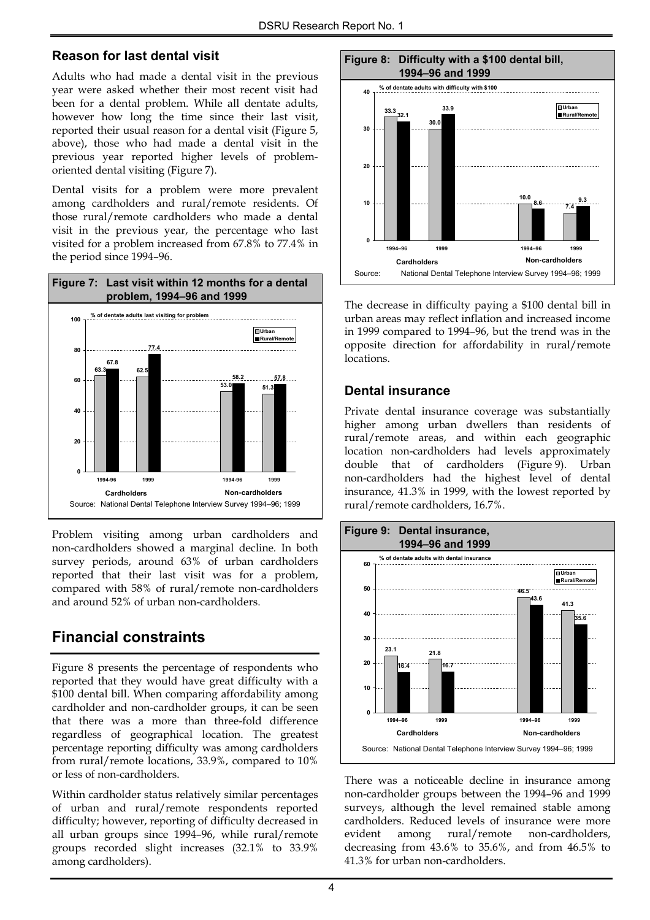#### **Reason for last dental visit**

Adults who had made a dental visit in the previous year were asked whether their most recent visit had been for a dental problem. While all dentate adults, however how long the time since their last visit, reported their usual reason for a dental visit (Figure 5, above), those who had made a dental visit in the previous year reported higher levels of problemoriented dental visiting (Figure 7).

Dental visits for a problem were more prevalent among cardholders and rural/remote residents. Of those rural/remote cardholders who made a dental visit in the previous year, the percentage who last visited for a problem increased from 67.8% to 77.4% in the period since 1994–96.



Problem visiting among urban cardholders and non-cardholders showed a marginal decline*.* In both survey periods, around 63% of urban cardholders reported that their last visit was for a problem, compared with 58% of rural/remote non-cardholders and around 52% of urban non-cardholders.

# **Financial constraints**

Figure 8 presents the percentage of respondents who reported that they would have great difficulty with a \$100 dental bill. When comparing affordability among cardholder and non-cardholder groups, it can be seen that there was a more than three-fold difference regardless of geographical location. The greatest percentage reporting difficulty was among cardholders from rural/remote locations, 33.9%, compared to 10% or less of non-cardholders.

Within cardholder status relatively similar percentages of urban and rural/remote respondents reported difficulty; however, reporting of difficulty decreased in all urban groups since 1994–96, while rural/remote groups recorded slight increases (32.1% to 33.9% among cardholders).



The decrease in difficulty paying a \$100 dental bill in urban areas may reflect inflation and increased income in 1999 compared to 1994–96, but the trend was in the opposite direction for affordability in rural/remote locations.

#### **Dental insurance**

Private dental insurance coverage was substantially higher among urban dwellers than residents of rural/remote areas, and within each geographic location non-cardholders had levels approximately double that of cardholders (Figure 9). Urban non-cardholders had the highest level of dental insurance, 41.3% in 1999, with the lowest reported by rural/remote cardholders, 16.7%.



There was a noticeable decline in insurance among non-cardholder groups between the 1994–96 and 1999 surveys, although the level remained stable among cardholders. Reduced levels of insurance were more evident among rural/remote non-cardholders, decreasing from 43.6% to 35.6%, and from 46.5% to 41.3% for urban non-cardholders.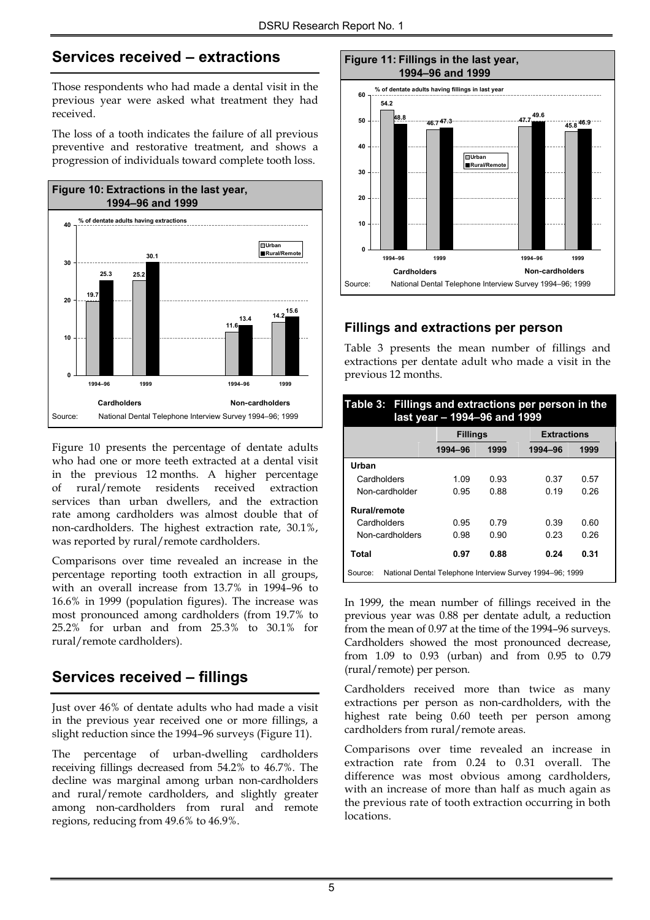# **Services received – extractions**

Those respondents who had made a dental visit in the previous year were asked what treatment they had received.

The loss of a tooth indicates the failure of all previous preventive and restorative treatment, and shows a progression of individuals toward complete tooth loss.



Figure 10 presents the percentage of dentate adults who had one or more teeth extracted at a dental visit in the previous 12 months. A higher percentage of rural/remote residents received extraction services than urban dwellers, and the extraction rate among cardholders was almost double that of non-cardholders. The highest extraction rate, 30.1%, was reported by rural/remote cardholders.

Comparisons over time revealed an increase in the percentage reporting tooth extraction in all groups, with an overall increase from 13.7% in 1994–96 to 16.6% in 1999 (population figures). The increase was most pronounced among cardholders (from 19.7% to 25.2% for urban and from 25.3% to 30.1% for rural/remote cardholders).

# **Services received – fillings**

Just over 46% of dentate adults who had made a visit in the previous year received one or more fillings, a slight reduction since the 1994–96 surveys (Figure 11).

The percentage of urban-dwelling cardholders receiving fillings decreased from 54.2% to 46.7%. The decline was marginal among urban non-cardholders and rural/remote cardholders, and slightly greater among non-cardholders from rural and remote regions, reducing from 49.6% to 46.9%.



### **Fillings and extractions per person**

Table 3 presents the mean number of fillings and extractions per dentate adult who made a visit in the previous 12 months.

| Table 3: Fillings and extractions per person in the<br>last year - 1994-96 and 1999 |                                                          |      |                    |      |  |  |  |  |
|-------------------------------------------------------------------------------------|----------------------------------------------------------|------|--------------------|------|--|--|--|--|
|                                                                                     | <b>Fillings</b>                                          |      | <b>Extractions</b> |      |  |  |  |  |
|                                                                                     | 1994-96                                                  | 1999 | 1994-96            | 1999 |  |  |  |  |
| Urban                                                                               |                                                          |      |                    |      |  |  |  |  |
| Cardholders                                                                         | 1.09                                                     | 0.93 | 0.37               | 0.57 |  |  |  |  |
| Non-cardholder                                                                      | 0.95                                                     | 0.88 | 0.19               | 0 26 |  |  |  |  |
| <b>Rural/remote</b>                                                                 |                                                          |      |                    |      |  |  |  |  |
| Cardholders                                                                         | 0.95                                                     | 0.79 | 0.39               | 0.60 |  |  |  |  |
| Non-cardholders                                                                     | 0.98                                                     | 0.90 | 0.23               | 0.26 |  |  |  |  |
| Total                                                                               | 0.97                                                     | 0.88 | 0.24               | 0.31 |  |  |  |  |
| Source:                                                                             | National Dental Telephone Interview Survey 1994–96; 1999 |      |                    |      |  |  |  |  |

In 1999, the mean number of fillings received in the previous year was 0.88 per dentate adult, a reduction from the mean of 0.97 at the time of the 1994–96 surveys. Cardholders showed the most pronounced decrease, from 1.09 to 0.93 (urban) and from 0.95 to 0.79 (rural/remote) per person.

Cardholders received more than twice as many extractions per person as non-cardholders, with the highest rate being 0.60 teeth per person among cardholders from rural/remote areas.

Comparisons over time revealed an increase in extraction rate from 0.24 to 0.31 overall. The difference was most obvious among cardholders, with an increase of more than half as much again as the previous rate of tooth extraction occurring in both locations.